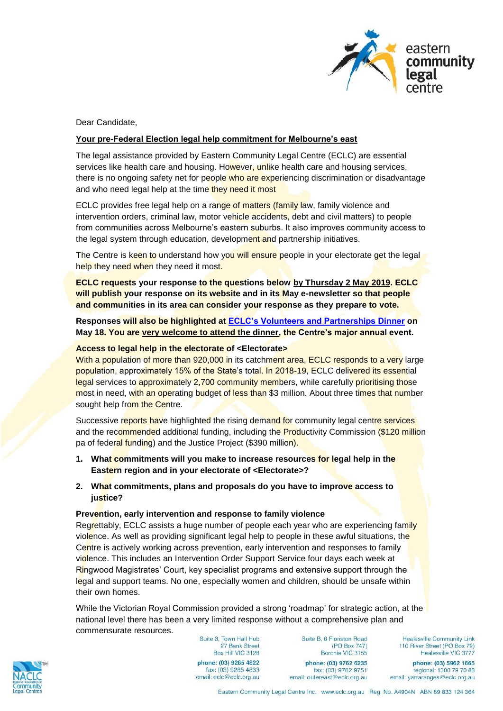

Dear Candidate,

## **Your pre-Federal Election legal help commitment for Melbourne's east**

The legal assistance provided by Eastern Community Legal Centre (ECLC) are essential services like health care and housing. However, unlike health care and housing services, there is no ongoing safety net for people who are experiencing discrimination or disadvantage and who need legal help at the time they need it most

ECLC provides free legal help on a range of matters (family law, family violence and intervention orders, criminal law, motor vehicle accidents, debt and civil matters) to people from communities across Melbourne's eastern suburbs. It also improves community access to the legal system through education, development and partnership initiatives.

The Centre is keen to understand how you will ensure people in your electorate get the legal help they need when they need it most.

**ECLC requests your response to the questions below by Thursday 2 May 2019. ECLC will publish your response on its website and in its May e-newsletter so that people and communities in its area can consider your response as they prepare to vote.** 

**Responses will also be highlighted at [ECLC's Volunteers and Partnerships Dinner](https://mailchi.mp/f4dbbbb81e88/your-invitation-to-eastern-community-legal-centres-annual-volunteers-partnerships-dinner-15-may-2019) on May 18. You are very welcome to attend the dinner, the Centre's major annual event.** 

### **Access to legal help in the electorate of <Electorate>**

With a population of more than 920,000 in its catchment area, ECLC responds to a very large population, approximately 15% of the State's total. In 2018-19, ECLC delivered its essential legal services to approximately 2,700 community members, while carefully prioritising those most in need, with an operating budget of less than \$3 million. About three times that number sought help from the Centre.

Successive reports have highlighted the rising demand for community legal centre services and the recommended additional funding, including the **Productivity Commission (\$120 million**) pa of federal funding) and the Justice Project (\$390 million).

- **1. What commitments will you make to increase resources for legal help in the Eastern region and in your electorate of <Electorate>?**
- **2. What commitments, plans and proposals do you have to improve access to justice?**

### **Prevention, early intervention and response to family violence**

Regrettably, ECLC assists a huge number of people each year who are experiencing family violence. As well as providing significant legal help to people in these awful situations, the Centre is actively working across prevention, early intervention and responses to family violence. This includes an Intervention Order Support Service four days each week at Ringwood Magistrates' Court, key specialist programs and extensive support through the legal and support teams. No one, especially women and children, should be unsafe within their own homes.

While the Victorian Royal Commission provided a strong 'roadmap' for strategic action, at the national level there has been a very limited response without a comprehensive plan and commensurate resources.



Suite 3, Town Hall Hub 27 Bank Street Box Hill VIC 3128 phone: (03) 9285 4822 fax: (03) 9285 4833 email: eclc@eclc.org.au

Suite B, 6 Floriston Road (PO Box 747) Boronia VIC 3155

phone: (03) 9762 6235 fax: (03) 9762 9751 email: outereast@eclc.org.au

Healesville Community Link 110 River Street (PO Box 79) Healesville VIC 3777

phone: (03) 5962 1665 regional: 1300 79 70 88 email: yarraranges@eclc.org.au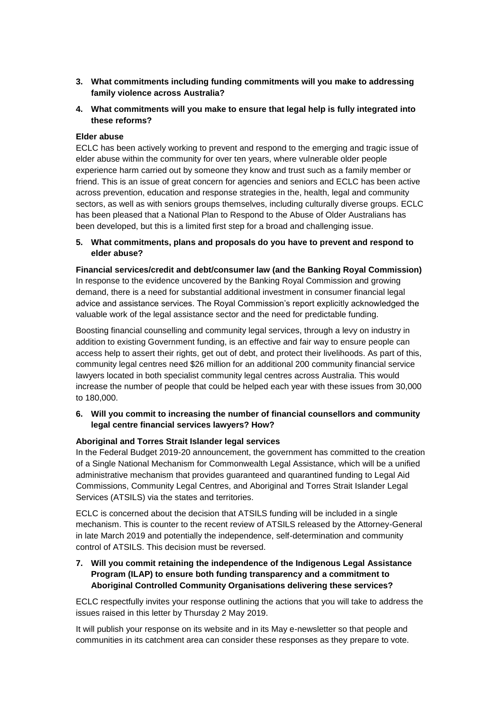- **3. What commitments including funding commitments will you make to addressing family violence across Australia?**
- **4. What commitments will you make to ensure that legal help is fully integrated into these reforms?**

## **Elder abuse**

ECLC has been actively working to prevent and respond to the emerging and tragic issue of elder abuse within the community for over ten years, where vulnerable older people experience harm carried out by someone they know and trust such as a family member or friend. This is an issue of great concern for agencies and seniors and ECLC has been active across prevention, education and response strategies in the, health, legal and community sectors, as well as with seniors groups themselves, including culturally diverse groups. ECLC has been pleased that a National Plan to Respond to the Abuse of Older Australians has been developed, but this is a limited first step for a broad and challenging issue.

**5. What commitments, plans and proposals do you have to prevent and respond to elder abuse?**

**Financial services/credit and debt/consumer law (and the Banking Royal Commission)** In response to the evidence uncovered by the Banking Royal Commission and growing demand, there is a need for substantial additional investment in consumer financial legal advice and assistance services. The Royal Commission's report explicitly acknowledged the valuable work of the legal assistance sector and the need for predictable funding.

Boosting financial counselling and community legal services, through a levy on industry in addition to existing Government funding, is an effective and fair way to ensure people can access help to assert their rights, get out of debt, and protect their livelihoods. As part of this, community legal centres need \$26 million for an additional 200 community financial service lawyers located in both specialist community legal centres across Australia. This would increase the number of people that could be helped each year with these issues from 30,000 to 180,000.

**6. Will you commit to increasing the number of financial counsellors and community legal centre financial services lawyers? How?**

# **Aboriginal and Torres Strait Islander legal services**

In the Federal Budget 2019-20 announcement, the government has committed to the creation of a Single National Mechanism for Commonwealth Legal Assistance, which will be a unified administrative mechanism that provides guaranteed and quarantined funding to Legal Aid Commissions, Community Legal Centres, and Aboriginal and Torres Strait Islander Legal Services (ATSILS) via the states and territories.

ECLC is concerned about the decision that ATSILS funding will be included in a single mechanism. This is counter to the recent review of ATSILS released by the Attorney-General in late March 2019 and potentially the independence, self-determination and community control of ATSILS. This decision must be reversed.

# **7. Will you commit retaining the independence of the Indigenous Legal Assistance Program (ILAP) to ensure both funding transparency and a commitment to Aboriginal Controlled Community Organisations delivering these services?**

ECLC respectfully invites your response outlining the actions that you will take to address the issues raised in this letter by Thursday 2 May 2019.

It will publish your response on its website and in its May e-newsletter so that people and communities in its catchment area can consider these responses as they prepare to vote.